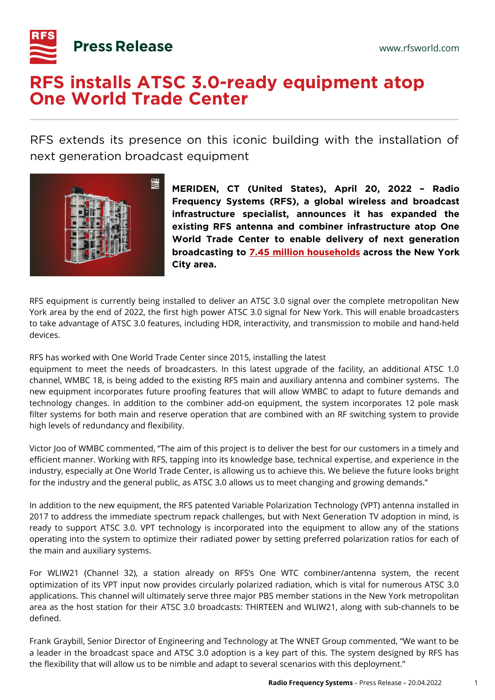

## **RFS installs ATSC 3.0-ready equipment atop One World Trade Center**

RFS extends its presence on this iconic building with the installation of next generation broadcast equipment



**MERIDEN, CT (United States), April 20, 2022 – Radio Frequency Systems (RFS), a global wireless and broadcast infrastructure specialist, announces it has expanded the existing RFS antenna and combiner infrastructure atop One World Trade Center to enable delivery of next generation broadcasting to [7.45 million households](https://mediatracks.com/resources/nielsen-dma-rankings-2021/) across the New York City area.**

RFS equipment is currently being installed to deliver an ATSC 3.0 signal over the complete metropolitan New York area by the end of 2022, the first high power ATSC 3.0 signal for New York. This will enable broadcasters to take advantage of ATSC 3.0 features, including HDR, interactivity, and transmission to mobile and hand-held devices.

RFS has worked with One World Trade Center since 2015, installing the latest

equipment to meet the needs of broadcasters. In this latest upgrade of the facility, an additional ATSC 1.0 channel, WMBC 18, is being added to the existing RFS main and auxiliary antenna and combiner systems. The new equipment incorporates future proofing features that will allow WMBC to adapt to future demands and technology changes. In addition to the combiner add-on equipment, the system incorporates 12 pole mask filter systems for both main and reserve operation that are combined with an RF switching system to provide high levels of redundancy and flexibility.

Victor Joo of WMBC commented, "The aim of this project is to deliver the best for our customers in a timely and efficient manner. Working with RFS, tapping into its knowledge base, technical expertise, and experience in the industry, especially at One World Trade Center, is allowing us to achieve this. We believe the future looks bright for the industry and the general public, as ATSC 3.0 allows us to meet changing and growing demands."

In addition to the new equipment, the RFS patented Variable Polarization Technology (VPT) antenna installed in 2017 to address the immediate spectrum repack challenges, but with Next Generation TV adoption in mind, is ready to support ATSC 3.0. VPT technology is incorporated into the equipment to allow any of the stations operating into the system to optimize their radiated power by setting preferred polarization ratios for each of the main and auxiliary systems.

For WLIW21 (Channel 32), a station already on RFS's One WTC combiner/antenna system, the recent optimization of its VPT input now provides circularly polarized radiation, which is vital for numerous ATSC 3.0 applications. This channel will ultimately serve three major PBS member stations in the New York metropolitan area as the host station for their ATSC 3.0 broadcasts: THIRTEEN and WLIW21, along with sub-channels to be defined.

Frank Graybill, Senior Director of Engineering and Technology at The WNET Group commented, "We want to be a leader in the broadcast space and ATSC 3.0 adoption is a key part of this. The system designed by RFS has the flexibility that will allow us to be nimble and adapt to several scenarios with this deployment."